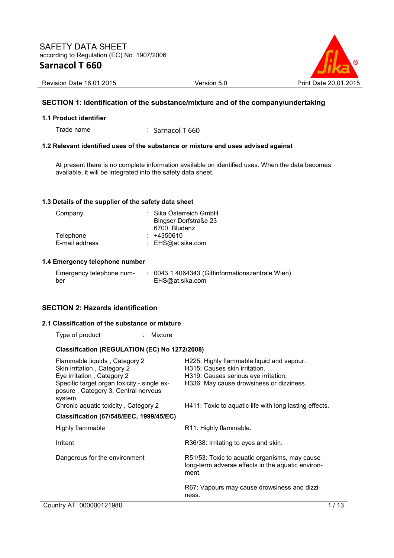

Revision Date 16.01.2015 **Version 5.0** Version 5.0 Print Date 20.

## **SECTION 1: Identification of the substance/mixture and of the company/undertaking**

#### **1.1 Product identifier**

Trade name : Sarnacol T 660

#### **1.2 Relevant identified uses of the substance or mixture and uses advised against**

At present there is no complete information available on identified uses. When the data becomes available, it will be integrated into the safety data sheet.

#### **1.3 Details of the supplier of the safety data sheet**

| Company        | : Sika Österreich GmbH |
|----------------|------------------------|
|                | Bingser Dorfstraße 23  |
|                | 6700 Bludenz           |
| Telephone      | $: +4350610$           |
| E-mail address | : EHS@at.sika.com      |

#### **1.4 Emergency telephone number**

| Emergency telephone num- | : 0043 1 4064343 (Giftinformationszentrale Wien) |
|--------------------------|--------------------------------------------------|
| ber                      | EHS@at.sika.com                                  |

#### **SECTION 2: Hazards identification**

#### **2.1 Classification of the substance or mixture**

Type of product : Mixture

#### **Classification (REGULATION (EC) No 1272/2008)**

| Flammable liquids, Category 2<br>Skin irritation, Category 2<br>Eye irritation, Category 2   | H225: Highly flammable liquid and vapour.<br>H315: Causes skin irritation.<br>H319: Causes serious eye irritation. |
|----------------------------------------------------------------------------------------------|--------------------------------------------------------------------------------------------------------------------|
| Specific target organ toxicity - single ex-<br>posure, Category 3, Central nervous<br>system | H336: May cause drowsiness or dizziness.                                                                           |
| Chronic aquatic toxicity, Category 2                                                         | H411: Toxic to aquatic life with long lasting effects.                                                             |
| <b>Classification (67/548/EEC, 1999/45/EC)</b>                                               |                                                                                                                    |
| Highly flammable                                                                             | R11: Highly flammable.                                                                                             |
| Irritant                                                                                     | R36/38: Irritating to eyes and skin.                                                                               |
| Dangerous for the environment                                                                | R51/53: Toxic to aquatic organisms, may cause<br>long-term adverse effects in the aquatic environ-<br>ment.        |
|                                                                                              | R67: Vapours may cause drowsiness and dizzi-<br>ness.                                                              |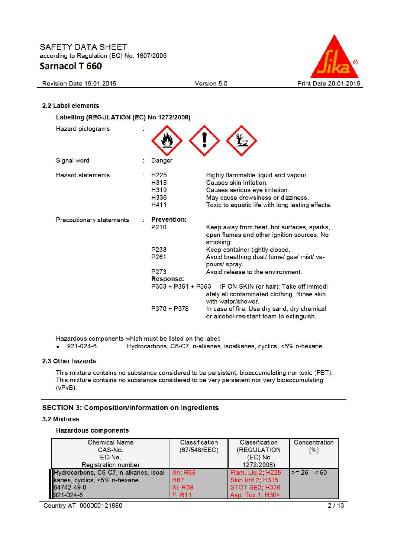

# 2.2 Label elements

Revision Date 16.01.2015

| Labelling (REGULATION (EC) No 1272/2008) |                                        |                                                                                                                                                                                            |  |  |
|------------------------------------------|----------------------------------------|--------------------------------------------------------------------------------------------------------------------------------------------------------------------------------------------|--|--|
| <b>Hazard pictograms</b>                 |                                        |                                                                                                                                                                                            |  |  |
| Signal word                              | Danger                                 |                                                                                                                                                                                            |  |  |
| <b>Hazard statements</b>                 | H225<br>H315<br>H319<br>H336<br>H411   | Highly flammable liquid and vapour.<br>Causes skin irritation.<br>Causes serious eye irritation.<br>May cause drowsiness or dizziness.<br>Toxic to aquatic life with long lasting effects. |  |  |
| <b>Precautionary statements</b>          | <b>Prevention:</b><br>P <sub>210</sub> | Keep away from heat, hot surfaces, sparks,<br>open flames and other ignition sources. No<br>smoking.                                                                                       |  |  |
|                                          | P233<br>P <sub>261</sub>               | Keep container tightly closed.<br>Avoid breathing dust/ fume/ gas/ mist/ va-<br>pours/ spray.                                                                                              |  |  |
|                                          | P <sub>273</sub><br>Response:          | Avoid release to the environment.                                                                                                                                                          |  |  |
|                                          | P303 + P361 + P353                     | IF ON SKIN (or hair): Take off immedi-<br>ately all contaminated clothing. Rinse skin<br>with water/shower.                                                                                |  |  |
|                                          | P370 + P378                            | In case of fire: Use dry sand, dry chemical<br>or alcohol-resistant foam to extinguish.                                                                                                    |  |  |

Version 5.0

Hazardous components which must be listed on the label:

 $-921-024-6$ Hydrocarbons, C6-C7, n-alkanes, isoalkanes, cyclics, <5% n-hexane

#### 2.3 Other hazards

This mixture contains no substance considered to be persistent, bioaccumulating nor toxic (PBT). This mixture contains no substance considered to be very persistent nor very bioaccumulating  $(vPvB)$ .

#### **SECTION 3: Composition/information on ingredients**

#### **3.2 Mixtures**

#### **Hazardous components**

| <b>Chemical Name</b>                                                                                                        | <b>Classification</b> | <b>Classification</b> | Concentration |
|-----------------------------------------------------------------------------------------------------------------------------|-----------------------|-----------------------|---------------|
| CAS-No.                                                                                                                     | (67/548/EEC)          | (REGULATION           | [%]           |
| EC-No.                                                                                                                      |                       | (EC) No               |               |
| <b>Registration number</b>                                                                                                  |                       | 1272/2008)            |               |
|                                                                                                                             |                       | Flam. Lig.2, H225     | $>= 25 - 50$  |
|                                                                                                                             |                       | Skin Irrit.2, H315    |               |
|                                                                                                                             |                       | STOT SE3, H336        |               |
| Hydrocarbons, C6-C7, n-alkanes, isoal Xn; R65<br>kanes, cyclics, <5% n-hexane R67<br>64742-49-0 Xi; R38<br>921-024-6 F; R11 |                       | Asp. Tox.1, H304      |               |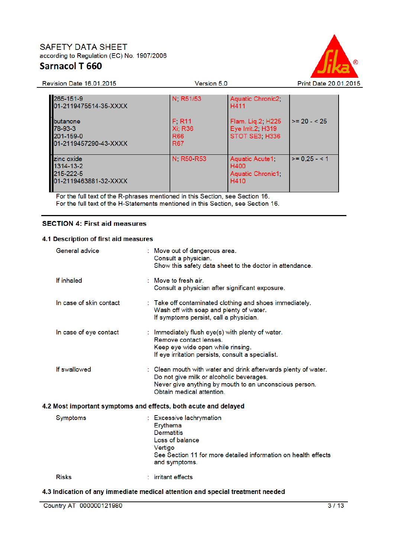Revision Date 16.01.2015



| 265-151-9<br>01-2119475514-35-XXXX                            | N, R51/53                                                      | Aquatic Chronic2,<br>H411                                |               |
|---------------------------------------------------------------|----------------------------------------------------------------|----------------------------------------------------------|---------------|
| butanone<br>78-93-3<br>201-159-0<br>01-2119457290-43-XXXX     | F. R11<br><b>Xi, R36</b><br>R <sub>66</sub><br>R <sub>67</sub> | Flam. Lig.2, H225<br>Eye Irrit.2; H319<br>STOT SE3, H336 | $>= 20 - 525$ |
| zinc oxide<br>1314-13-2<br>215-222-5<br>01-2119463881-32-XXXX | N, R50 R53                                                     | Aquatic Acute 1,<br>H400<br>Aquatic Chronic1,<br>H410    | $>= 0.25 - 1$ |

Version 5.0

For the full text of the R-phrases mentioned in this Section, see Section 16.<br>For the full text of the H-Statements mentioned in this Section, see Section 16.

## **SECTION 4: First aid measures**

#### 4.1 Description of first aid measures

| General advice                                                  | : Move out of dangerous area.<br>Consult a physician.<br>Show this safety data sheet to the doctor in attendance.                                                                                 |
|-----------------------------------------------------------------|---------------------------------------------------------------------------------------------------------------------------------------------------------------------------------------------------|
| If inhaled                                                      | $:$ Move to fresh air.<br>Consult a physician after significant exposure.                                                                                                                         |
| In case of skin contact                                         | : Take off contaminated clothing and shoes immediately.<br>Wash off with soap and plenty of water.<br>If symptoms persist, call a physician.                                                      |
| In case of eye contact                                          | : Immediately flush eye(s) with plenty of water.<br>Remove contact lenses.<br>Keep eye wide open while rinsing.<br>If eye irritation persists, consult a specialist.                              |
| If swallowed                                                    | : Clean mouth with water and drink afterwards plenty of water.<br>Do not give milk or alcoholic beverages.<br>Never give anything by mouth to an unconscious person.<br>Obtain medical attention. |
| 4.2 Most important symptoms and effects, both acute and delayed |                                                                                                                                                                                                   |
| <b>Symptoms</b>                                                 | : Excessive lachrymation<br>Erythema<br><b>Dermatitis</b><br>Loss of balance<br>Vertigo<br>See Section 11 for more detailed information on health effects<br>and symptoms.                        |
| <b>Risks</b>                                                    | : irritant effects                                                                                                                                                                                |

## 4.3 Indication of any immediate medical attention and special treatment needed

Country AT 000000121980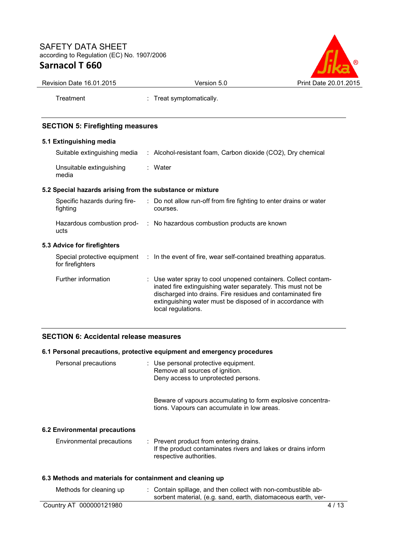

| Revision Date 16.01.2015                                  | Version 5.0                                                                                                  | Print Date 20.01.2015 |
|-----------------------------------------------------------|--------------------------------------------------------------------------------------------------------------|-----------------------|
| Treatment                                                 | : Treat symptomatically.                                                                                     |                       |
| <b>SECTION 5: Firefighting measures</b>                   |                                                                                                              |                       |
| 5.1 Extinguishing media                                   |                                                                                                              |                       |
| Suitable extinguishing media                              | : Alcohol-resistant foam, Carbon dioxide (CO2), Dry chemical                                                 |                       |
| Unsuitable extinguishing<br>media                         | : Water                                                                                                      |                       |
| 5.2 Special hazards arising from the substance or mixture |                                                                                                              |                       |
| fighting                                                  | Specific hazards during fire- : Do not allow run-off from fire fighting to enter drains or water<br>courses. |                       |

| Hazardous combustion prod- | : No hazardous combustion products are known |
|----------------------------|----------------------------------------------|
| ucts                       |                                              |

## **5.3 Advice for firefighters**

| for firefighters    | Special protective equipment : In the event of fire, wear self-contained breathing apparatus.                                                                                                                                                                                     |
|---------------------|-----------------------------------------------------------------------------------------------------------------------------------------------------------------------------------------------------------------------------------------------------------------------------------|
| Further information | : Use water spray to cool unopened containers. Collect contam-<br>inated fire extinguishing water separately. This must not be<br>discharged into drains. Fire residues and contaminated fire<br>extinguishing water must be disposed of in accordance with<br>local regulations. |

## **SECTION 6: Accidental release measures**

## **6.1 Personal precautions, protective equipment and emergency procedures**

| Personal precautions                                      |  | : Use personal protective equipment.<br>Remove all sources of ignition.<br>Deny access to unprotected persons.                      |  |  |
|-----------------------------------------------------------|--|-------------------------------------------------------------------------------------------------------------------------------------|--|--|
|                                                           |  | Beware of vapours accumulating to form explosive concentra-<br>tions. Vapours can accumulate in low areas.                          |  |  |
| 6.2 Environmental precautions                             |  |                                                                                                                                     |  |  |
| Environmental precautions                                 |  | : Prevent product from entering drains.<br>If the product contaminates rivers and lakes or drains inform<br>respective authorities. |  |  |
| 6.3 Methods and materials for containment and cleaning up |  |                                                                                                                                     |  |  |
| Methods for cleaning up                                   |  | : Contain spillage, and then collect with non-combustible ab-<br>sorbent material, (e.g. sand, earth, diatomaceous earth, ver-      |  |  |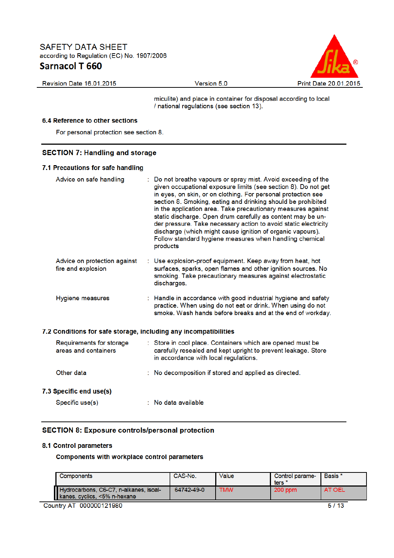

Revision Date 16.01.2015

Version 5.0

miculite) and place in container for disposal according to local / national regulations (see section 13).

#### 6.4 Reference to other sections

For personal protection see section 8.

#### **SECTION 7: Handling and storage**

#### 7.1 Precautions for safe handling

| Advice on safe handling                                          | : Do not breathe vapours or spray mist. Avoid exceeding of the<br>given occupational exposure limits (see section 8). Do not get<br>in eyes, on skin, or on clothing. For personal protection see<br>section 8. Smoking, eating and drinking should be prohibited<br>in the application area. Take precautionary measures against<br>static discharge. Open drum carefully as content may be un-<br>der pressure. Take necessary action to avoid static electricity<br>discharge (which might cause ignition of organic vapours).<br>Follow standard hygiene measures when handling chemical<br>products |
|------------------------------------------------------------------|----------------------------------------------------------------------------------------------------------------------------------------------------------------------------------------------------------------------------------------------------------------------------------------------------------------------------------------------------------------------------------------------------------------------------------------------------------------------------------------------------------------------------------------------------------------------------------------------------------|
| Advice on protection against<br>fire and explosion               | : Use explosion-proof equipment. Keep away from heat, hot<br>surfaces, sparks, open flames and other ignition sources. No<br>smoking. Take precautionary measures against electrostatic<br>discharges.                                                                                                                                                                                                                                                                                                                                                                                                   |
| Hygiene measures                                                 | : Handle in accordance with good industrial hygiene and safety<br>practice. When using do not eat or drink. When using do not<br>smoke. Wash hands before breaks and at the end of workday.                                                                                                                                                                                                                                                                                                                                                                                                              |
| 7.2 Conditions for safe storage, including any incompatibilities |                                                                                                                                                                                                                                                                                                                                                                                                                                                                                                                                                                                                          |
| Requirements for storage<br>areas and containers                 | : Store in cool place. Containers which are opened must be<br>carefully resealed and kept upright to prevent leakage. Store<br>in accordance with local regulations.                                                                                                                                                                                                                                                                                                                                                                                                                                     |
| Other data                                                       | : No decomposition if stored and applied as directed.                                                                                                                                                                                                                                                                                                                                                                                                                                                                                                                                                    |
| 7.3 Specific end use(s)                                          |                                                                                                                                                                                                                                                                                                                                                                                                                                                                                                                                                                                                          |
| Specific use(s)                                                  | : No data available                                                                                                                                                                                                                                                                                                                                                                                                                                                                                                                                                                                      |

#### **SECTION 8: Exposure controls/personal protection**

#### 8.1 Control parameters

**Components with workplace control parameters** 

| <b>Components</b>                                                      | CAS-No.    | Value      | Control parame-<br>ters | Basis *       |
|------------------------------------------------------------------------|------------|------------|-------------------------|---------------|
| Hydrocarbons, C6-C7, n-alkanes, isoal-<br>kanes, cyclics, <5% n-hexane | 64742-49-0 | <b>TMW</b> | 200 ppm                 | <b>AT OEL</b> |

Country AT 000000121980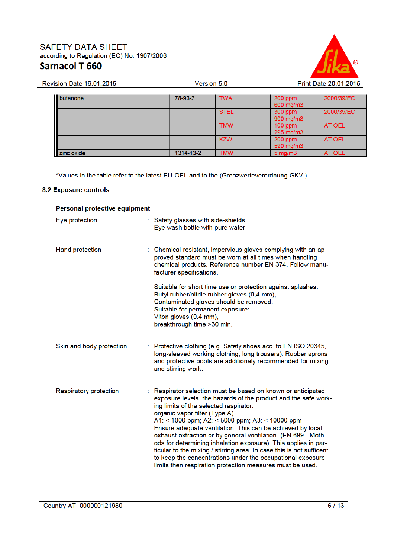

| <b>Revision Date 16.01.2015</b> | Version 5.0 |             | Print Date 20.01.2015  |            |
|---------------------------------|-------------|-------------|------------------------|------------|
|                                 |             |             |                        |            |
| butanone                        | 78-93-3     | <b>TWA</b>  | 200 ppm<br>600 mg/m3   | 2000/39/EC |
|                                 |             | <b>STEL</b> | 300 ppm<br>900 mg/m3   | 2000/39/EC |
|                                 |             | <b>TMW</b>  | $100$ ppm<br>295 mg/m3 | AT OEL     |
|                                 |             | <b>KZW</b>  | 200 ppm<br>590 mg/m3   | AT OEL     |
| zinc oxide                      | 1314-13-2   | <b>TMW</b>  | $5 \,\mathrm{mq/m}$    | AT OEL     |

Version 5.0

\*Values in the table refer to the latest EU-OEL and to the (Grenzwerteverordnung GKV).

#### **8.2 Exposure controls**

| Personal protective equipment |  |                                                                                                                                                                                                                                                                                                                                                                                                                                                                                                                                                                                                                                                                  |  |  |
|-------------------------------|--|------------------------------------------------------------------------------------------------------------------------------------------------------------------------------------------------------------------------------------------------------------------------------------------------------------------------------------------------------------------------------------------------------------------------------------------------------------------------------------------------------------------------------------------------------------------------------------------------------------------------------------------------------------------|--|--|
| Eye protection                |  | : Safety glasses with side-shields<br>Eye wash bottle with pure water                                                                                                                                                                                                                                                                                                                                                                                                                                                                                                                                                                                            |  |  |
| <b>Hand protection</b>        |  | : Chemical-resistant, impervious gloves complying with an ap-<br>proved standard must be worn at all times when handling<br>chemical products. Reference number EN 374. Follow manu-<br>facturer specifications.                                                                                                                                                                                                                                                                                                                                                                                                                                                 |  |  |
|                               |  | Suitable for short time use or protection against splashes:<br>Butyl rubber/nitrile rubber gloves (0,4 mm),<br>Contaminated gloves should be removed.<br>Suitable for permanent exposure:<br>Viton gloves (0.4 mm),<br>breakthrough time >30 min.                                                                                                                                                                                                                                                                                                                                                                                                                |  |  |
| Skin and body protection      |  | : Protective clothing (e.g. Safety shoes acc. to EN ISO 20345,<br>long-sleeved working clothing, long trousers). Rubber aprons<br>and protective boots are additionaly recommended for mixing<br>and stirring work.                                                                                                                                                                                                                                                                                                                                                                                                                                              |  |  |
| <b>Respiratory protection</b> |  | : Respirator selection must be based on known or anticipated<br>exposure levels, the hazards of the product and the safe work-<br>ing limits of the selected respirator.<br>organic vapor filter (Type A)<br>A1: < 1000 ppm; A2: < 5000 ppm; A3: < 10000 ppm<br>Ensure adequate ventilation. This can be achieved by local<br>exhaust extraction or by general ventilation. (EN 689 - Meth-<br>ods for determining inhalation exposure). This applies in par-<br>ticular to the mixing / stirring area. In case this is not sufficent<br>to keep the concentrations under the occupational exposure<br>limits then respiration protection measures must be used. |  |  |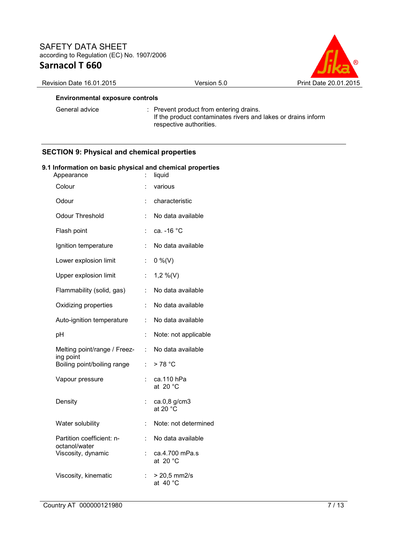

## Revision Date 16.01.2015 Version 5.0 Print Date 20.01.2015

#### **Environmental exposure controls**

General advice : Prevent product from entering drains. If the product contaminates rivers and lakes or drains inform respective authorities.

## **SECTION 9: Physical and chemical properties**

#### **9.1 Information on basic physical and chemical properties**

| Appearance                                 |    | liquid                               |
|--------------------------------------------|----|--------------------------------------|
| Colour                                     |    | various                              |
| Odour                                      |    | characteristic                       |
| <b>Odour Threshold</b>                     |    | No data available                    |
| Flash point                                |    | ca. - 16 °C                          |
| Ignition temperature                       | ÷  | No data available                    |
| Lower explosion limit                      | t. | $0\%$ (V)                            |
| Upper explosion limit                      | t. | $1,2\%$ (V)                          |
| Flammability (solid, gas)                  | t. | No data available                    |
| Oxidizing properties                       | t. | No data available                    |
| Auto-ignition temperature                  | t  | No data available                    |
| pH                                         | t  | Note: not applicable                 |
| Melting point/range / Freez-<br>ing point  | t. | No data available                    |
| Boiling point/boiling range                | t. | > 78 °C                              |
| Vapour pressure                            |    | ca.110 hPa<br>at $20 °C$             |
| Density                                    |    | ca.0,8 g/cm3<br>at 20 $^{\circ}$ C   |
| Water solubility                           | t  | Note: not determined                 |
| Partition coefficient: n-<br>octanol/water | t  | No data available                    |
| Viscosity, dynamic                         | t. | ca.4.700 mPa.s<br>at 20 $^{\circ}$ C |
| Viscosity, kinematic                       | t  | > 20,5 mm2/s<br>at 40 $^{\circ}$ C   |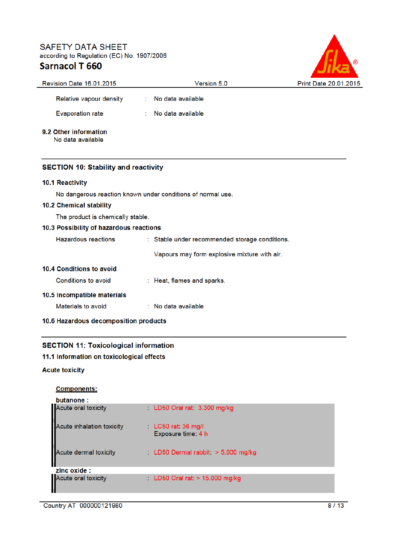

| <b>Revision Date 16.01.2015</b>             | Version 5.0                                                 | <b>Print Date 20.01.201</b> |
|---------------------------------------------|-------------------------------------------------------------|-----------------------------|
| Relative vapour density                     | No data available                                           |                             |
| <b>Evaporation rate</b>                     | No data available                                           |                             |
| 9.2 Other information<br>No data available  |                                                             |                             |
| <b>SECTION 10: Stability and reactivity</b> |                                                             |                             |
| 10.1 Reactivity                             |                                                             |                             |
|                                             | No dangerous reaction known under conditions of normal use. |                             |
| 10.2 Chemical stability                     |                                                             |                             |
| The product is chemically stable.           |                                                             |                             |
| 10.3 Possibility of hazardous reactions     |                                                             |                             |
| <b>Hazardous reactions</b>                  | : Stable under recommended storage conditions.              |                             |
|                                             | Vapours may form explosive mixture with air.                |                             |
| 10.4 Conditions to avoid                    |                                                             |                             |
| Conditions to avoid                         | : Heat, flames and sparks.                                  |                             |
| 10.5 Incompatible materials                 |                                                             |                             |
| Materials to avoid                          | : No data available                                         |                             |
| 10.6 Hazardous decomposition products       |                                                             |                             |

## **SECTION 11: Toxicological information**

## 11.1 Information on toxicological effects

#### **Acute toxicity**

### **Components:**

| butanone:                  |                                                      |
|----------------------------|------------------------------------------------------|
| Acute oral toxicity        | LD50 Oral rat 3.300 mg/kg                            |
| Acute inhalation toxicity  | $\therefore$ LC50 rat: 36 mg/l<br>Exposure time: 4 h |
| Acute dermal toxicity<br>H | LD50 Dermal rabbit: $>$ 5.000 mg/kg                  |
| zinc oxide :               |                                                      |
| Acute oral toxicity        | LD50 Oral rat $> 15.000$ mg/kg                       |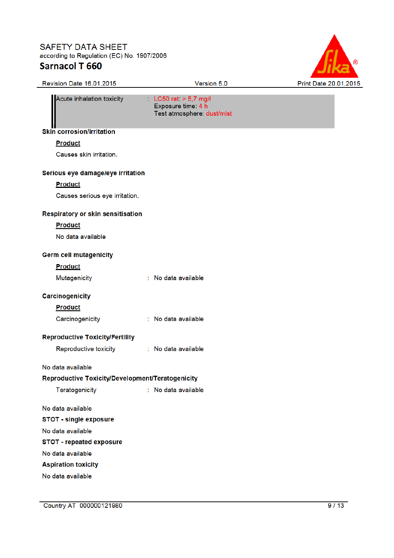# **SAFETY DATA SHEET**



according to Regulation (EC) No. 1907/2006 **Sarnacol T 660** Revision Date 16.01.2015 Version 5.0  $LC50$  rat  $> 5.7$  mg/l Acute inhalation toxicity Exposure time: 4 h Test atmosphere: dust/mist **Skin corrosion/irritation Product** Causes skin irritation. Serious eye damage/eye irritation **Product** Causes serious eye irritation. **Respiratory or skin sensitisation Product** No data available **Germ cell mutagenicity Product** Mutagenicity : No data available **Carcinogenicity Product** Carcinogenicity : No data available **Reproductive Toxicity/Fertility** Reproductive toxicity : No data available No data available Reproductive Toxicity/Development/Teratogenicity Teratogenicity : No data available No data available **STOT - single exposure** No data available **STOT - repeated exposure** No data available **Aspiration toxicity** 

No data available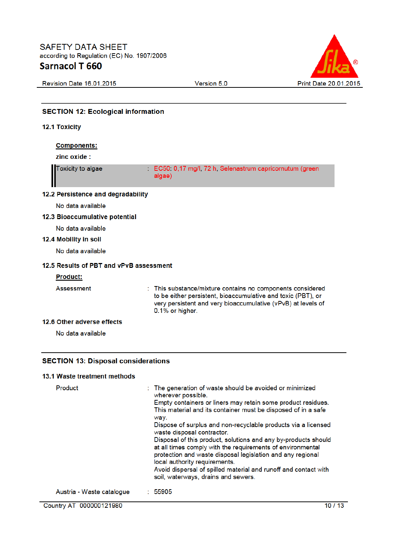

Revision Date 16.01.2015

Version 5.0

| <b>SECTION 12: Ecological information</b>  |                                                                                                                                                                                                             |
|--------------------------------------------|-------------------------------------------------------------------------------------------------------------------------------------------------------------------------------------------------------------|
| <b>12.1 Toxicity</b>                       |                                                                                                                                                                                                             |
| <b>Components:</b>                         |                                                                                                                                                                                                             |
| zinc oxide:                                |                                                                                                                                                                                                             |
| <b>Toxicity to algae</b>                   | EC50 0,17 mg/l, 72 h, Selenastrum capricornutum (green<br>algae)                                                                                                                                            |
| 12.2 Persistence and degradability         |                                                                                                                                                                                                             |
| No data available                          |                                                                                                                                                                                                             |
| 12.3 Bioaccumulative potential             |                                                                                                                                                                                                             |
| No data available                          |                                                                                                                                                                                                             |
| 12.4 Mobility in soil                      |                                                                                                                                                                                                             |
| No data available                          |                                                                                                                                                                                                             |
| 12.5 Results of PBT and vPvB assessment    |                                                                                                                                                                                                             |
| <b>Product:</b>                            |                                                                                                                                                                                                             |
| Assessment<br>t                            | This substance/mixture contains no components considered<br>to be either persistent, bioaccumulative and toxic (PBT), or<br>very persistent and very bioaccumulative (vPvB) at levels of<br>0.1% or higher. |
| 12.6 Other adverse effects                 |                                                                                                                                                                                                             |
| No data available                          |                                                                                                                                                                                                             |
|                                            |                                                                                                                                                                                                             |
| <b>SECTION 13: Disposal considerations</b> |                                                                                                                                                                                                             |
| 13.1 Waste treatment methods               |                                                                                                                                                                                                             |
| Deaduct.                                   | . The generation of westershould he evolded as minimized                                                                                                                                                    |

| Product                   | : The generation of waste should be avoided or minimized<br>wherever possible.                                                                                                                                              |
|---------------------------|-----------------------------------------------------------------------------------------------------------------------------------------------------------------------------------------------------------------------------|
|                           | Empty containers or liners may retain some product residues.<br>This material and its container must be disposed of in a safe<br>way.                                                                                       |
|                           | Dispose of surplus and non-recyclable products via a licensed<br>waste disposal contractor.                                                                                                                                 |
|                           | Disposal of this product, solutions and any by-products should<br>at all times comply with the requirements of environmental<br>protection and waste disposal legislation and any regional<br>local authority requirements. |
|                           | Avoid dispersal of spilled material and runoff and contact with<br>soil, waterways, drains and sewers.                                                                                                                      |
| Austria - Waste catalogue | : 55905                                                                                                                                                                                                                     |

Country AT 000000121980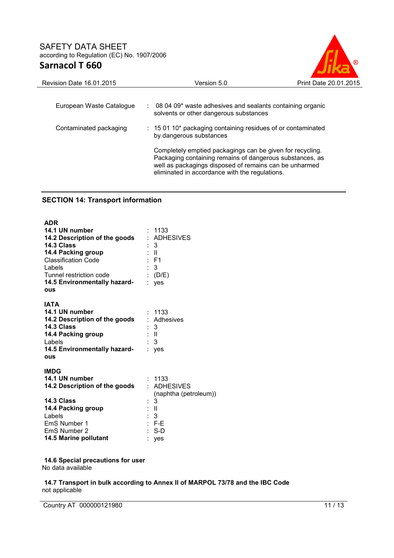

| <b>Revision Date 16.01.2015</b> | Version 5.0                                                                                                                                                                                                                       | Print Date 20.01.2015 |
|---------------------------------|-----------------------------------------------------------------------------------------------------------------------------------------------------------------------------------------------------------------------------------|-----------------------|
| European Waste Catalogue        | 08 04 09* waste adhesives and sealants containing organic<br>÷.<br>solvents or other dangerous substances                                                                                                                         |                       |
| Contaminated packaging          | $: 150110*$ packaging containing residues of or contaminated<br>by dangerous substances                                                                                                                                           |                       |
|                                 | Completely emptied packagings can be given for recycling.<br>Packaging containing remains of dangerous substances, as<br>well as packagings disposed of remains can be unharmed<br>eliminated in accordance with the regulations. |                       |

## **SECTION 14: Transport information**

| <b>ADR</b><br>14.1 UN number<br>14.2 Description of the goods<br>14.3 Class<br>14.4 Packing group<br><b>Classification Code</b><br><b>Labels</b><br>Tunnel restriction code<br>14.5 Environmentally hazard-<br>OUS | : 1133<br>: ADHESIVES<br>- 3<br>$\mathbb{R}^{\mathbb{Z}}$<br>$E$ F1<br>$\therefore$ 3<br>(D/E)<br>: yes                               |
|--------------------------------------------------------------------------------------------------------------------------------------------------------------------------------------------------------------------|---------------------------------------------------------------------------------------------------------------------------------------|
| <b>IATA</b><br>14.1 UN number<br>14.2 Description of the goods<br>14.3 Class<br>14.4 Packing group<br>Labels<br>14.5 Environmentally hazard-<br><b>ous</b>                                                         | 1133<br>: Adhesives<br>3<br>: II<br>3<br>: yes                                                                                        |
| <b>IMDG</b><br>14.1 UN number<br>14.2 Description of the goods<br>14.3 Class<br>14.4 Packing group<br>Labels<br><b>EmS Number 1</b><br>EmS Number 2<br>14.5 Marine pollutant                                       | : 1133<br>: ADHESIVES<br>(naphtha (petroleum))<br>3<br>$\mathbb{R}^{\mathbb{N}}$<br>$\overline{\mathbf{3}}$<br>$E = FE$<br>S-D<br>yes |

**14.6 Special precautions for user** No data available

**14.7 Transport in bulk according to Annex II of MARPOL 73/78 and the IBC Code** not applicable

Country AT 000000121980 11 / 13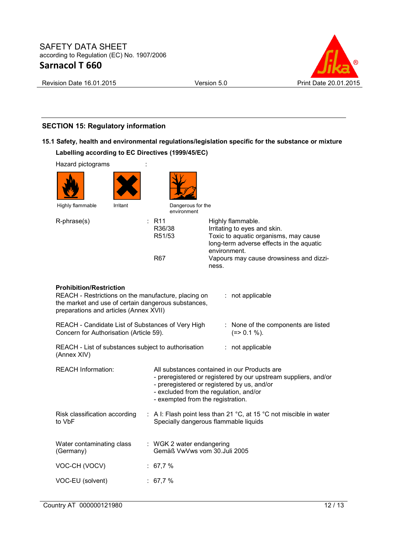

Revision Date 16.01.2015 Version 5.0 Print Date 20.01.2015

## **SECTION 15: Regulatory information**

## **15.1 Safety, health and environmental regulations/legislation specific for the substance or mixture Labelling according to EC Directives (1999/45/EC)**

| Hazard pictograms                                                                                                                                                                                          |                                                            |                                                                                                                                                                                                          |  |  |
|------------------------------------------------------------------------------------------------------------------------------------------------------------------------------------------------------------|------------------------------------------------------------|----------------------------------------------------------------------------------------------------------------------------------------------------------------------------------------------------------|--|--|
|                                                                                                                                                                                                            |                                                            |                                                                                                                                                                                                          |  |  |
| Highly flammable<br>Irritant                                                                                                                                                                               | Dangerous for the<br>environment                           |                                                                                                                                                                                                          |  |  |
| R-phrase(s)                                                                                                                                                                                                | $:$ R <sub>11</sub><br>R36/38<br>R51/53                    | Highly flammable.<br>Irritating to eyes and skin.<br>Toxic to aquatic organisms, may cause<br>long-term adverse effects in the aquatic<br>environment.                                                   |  |  |
|                                                                                                                                                                                                            | R67                                                        | Vapours may cause drowsiness and dizzi-<br>ness.                                                                                                                                                         |  |  |
| <b>Prohibition/Restriction</b><br>REACH - Restrictions on the manufacture, placing on<br>: not applicable<br>the market and use of certain dangerous substances,<br>preparations and articles (Annex XVII) |                                                            |                                                                                                                                                                                                          |  |  |
| REACH - Candidate List of Substances of Very High<br>: None of the components are listed<br>$(=>0.1\%).$<br>Concern for Authorisation (Article 59).                                                        |                                                            |                                                                                                                                                                                                          |  |  |
| REACH - List of substances subject to authorisation<br>(Annex XIV)                                                                                                                                         |                                                            | : not applicable                                                                                                                                                                                         |  |  |
| <b>REACH Information:</b>                                                                                                                                                                                  | - exempted from the registration.                          | All substances contained in our Products are<br>- preregistered or registered by our upstream suppliers, and/or<br>- preregistered or registered by us, and/or<br>- excluded from the regulation, and/or |  |  |
| Risk classification according<br>to VbF                                                                                                                                                                    |                                                            | : A I: Flash point less than 21 $^{\circ}$ C, at 15 $^{\circ}$ C not miscible in water<br>Specially dangerous flammable liquids                                                                          |  |  |
| Water contaminating class<br>(Germany)                                                                                                                                                                     | : WGK 2 water endangering<br>Gemäß VwVws vom 30. Juli 2005 |                                                                                                                                                                                                          |  |  |
| VOC-CH (VOCV)                                                                                                                                                                                              | : 67,7%                                                    |                                                                                                                                                                                                          |  |  |
| VOC-EU (solvent)                                                                                                                                                                                           | : 67,7%                                                    |                                                                                                                                                                                                          |  |  |
|                                                                                                                                                                                                            |                                                            |                                                                                                                                                                                                          |  |  |